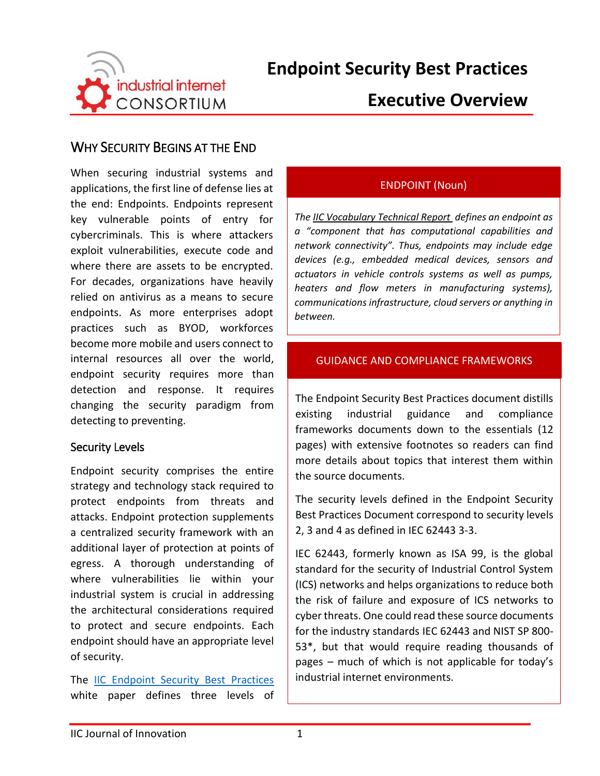

# **Executive Overview**

## WHY SECURITY BEGINS AT THE END

When securing industrial systems and applications, the first line of defense lies at the end: Endpoints. Endpoints represent key vulnerable points of entry for cybercriminals. This is where attackers exploit vulnerabilities, execute code and where there are assets to be encrypted. For decades, organizations have heavily relied on antivirus as a means to secure endpoints. As more enterprises adopt practices such as BYOD, workforces become more mobile and users connect to internal resources all over the world, endpoint security requires more than detection and response. It requires changing the security paradigm from detecting to preventing.

### Security Levels

Endpoint security comprises the entire strategy and technology stack required to protect endpoints from threats and attacks. Endpoint protection supplements a centralized security framework with an additional layer of protection at points of egress. A thorough understanding of where vulnerabilities lie within your industrial system is crucial in addressing the architectural considerations required to protect and secure endpoints. Each endpoint should have an appropriate level of security.

The [IIC Endpoint Security Best Practices](https://www.iiconsortium.org/pdf/Endpoint_Security_Best_Practices_Final_Mar_2018.pdf) white paper defines three levels of

### ENDPOINT (Noun)

*Th[e IIC Vocabulary Technical Report](https://www.iiconsortium.org/vocab/index.htm) defines an endpoint as a "component that has computational capabilities and network connectivity". Thus, endpoints may include edge devices (e.g., embedded medical devices, sensors and actuators in vehicle controls systems as well as pumps, heaters and flow meters in manufacturing systems), communications infrastructure, cloud servers or anything in between.*

#### GUIDANCE AND COMPLIANCE FRAMEWORKS

The Endpoint Security Best Practices document distills existing industrial guidance and compliance frameworks documents down to the essentials (12 pages) with extensive footnotes so readers can find more details about topics that interest them within the source documents.

The security levels defined in the Endpoint Security Best Practices Document correspond to security levels 2, 3 and 4 as defined in IEC 62443 3-3.

IEC 62443, formerly known as ISA 99, is the global standard for the security of Industrial Control System (ICS) networks and helps organizations to reduce both the risk of failure and exposure of ICS networks to cyber threats. One could read these source documents for the industry standards IEC 62443 and NIST SP 800- 53\*, but that would require reading thousands of pages – much of which is not applicable for today's industrial internet environments.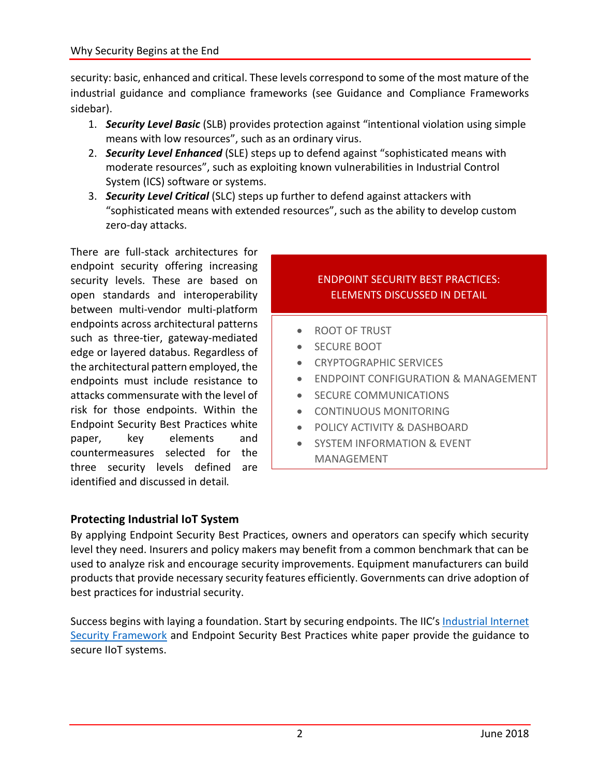security: basic, enhanced and critical. These levels correspond to some of the most mature of the industrial guidance and compliance frameworks (see Guidance and Compliance Frameworks sidebar).

- 1. *Security Level Basic* (SLB) provides protection against "intentional violation using simple means with low resources", such as an ordinary virus.
- 2. *Security Level Enhanced* (SLE) steps up to defend against "sophisticated means with moderate resources", such as exploiting known vulnerabilities in Industrial Control System (ICS) software or systems.
- 3. *Security Level Critical* (SLC) steps up further to defend against attackers with "sophisticated means with extended resources", such as the ability to develop custom zero-day attacks.

There are full-stack architectures for endpoint security offering increasing security levels. These are based on open standards and interoperability between multi-vendor multi-platform endpoints across architectural patterns such as three-tier, gateway-mediated edge or layered databus. Regardless of the architectural pattern employed, the endpoints must include resistance to attacks commensurate with the level of risk for those endpoints. Within the Endpoint Security Best Practices white paper, key elements and countermeasures selected for the three security levels defined are identified and discussed in detail.

## ENDPOINT SECURITY BEST PRACTICES: ELEMENTS DISCUSSED IN DETAIL

- ROOT OF TRUST
- SECURE BOOT
- **CRYPTOGRAPHIC SERVICES**
- ENDPOINT CONFIGURATION & MANAGEMENT
- **•** SECURE COMMUNICATIONS
- CONTINUOUS MONITORING
- POLICY ACTIVITY & DASHBOARD
- **SYSTEM INFORMATION & EVENT** MANAGEMENT

## **Protecting Industrial IoT System**

By applying Endpoint Security Best Practices, owners and operators can specify which security level they need. Insurers and policy makers may benefit from a common benchmark that can be used to analyze risk and encourage security improvements. Equipment manufacturers can build products that provide necessary security features efficiently. Governments can drive adoption of best practices for industrial security.

Success begins with laying a foundation. Start by securing endpoints. The IIC's [Industrial Internet](https://www.iiconsortium.org/IISF.htm)  [Security Framework](https://www.iiconsortium.org/IISF.htm) and Endpoint Security Best Practices white paper provide the guidance to secure IIoT systems.